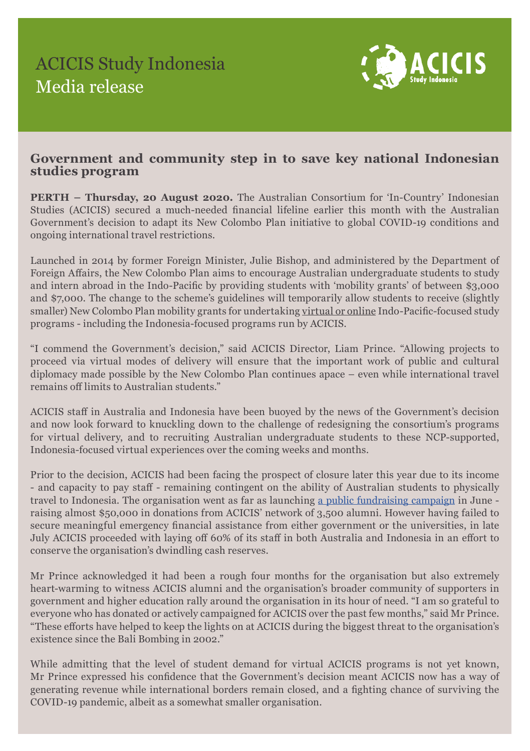

## **Government and community step in to save key national Indonesian studies program**

**PERTH – Thursday, 20 August 2020.** The Australian Consortium for 'In-Country' Indonesian Studies (ACICIS) secured a much-needed financial lifeline earlier this month with the Australian Government's decision to adapt its New Colombo Plan initiative to global COVID-19 conditions and ongoing international travel restrictions.

Launched in 2014 by former Foreign Minister, Julie Bishop, and administered by the Department of Foreign Affairs, the New Colombo Plan aims to encourage Australian undergraduate students to study and intern abroad in the Indo-Pacific by providing students with 'mobility grants' of between \$3,000 and \$7,000. The change to the scheme's guidelines will temporarily allow students to receive (slightly smaller) New Colombo Plan mobility grants for undertaking virtual or online Indo-Pacific-focused study programs - including the Indonesia-focused programs run by ACICIS.

"I commend the Government's decision," said ACICIS Director, Liam Prince. "Allowing projects to proceed via virtual modes of delivery will ensure that the important work of public and cultural diplomacy made possible by the New Colombo Plan continues apace – even while international travel remains off limits to Australian students."

ACICIS staff in Australia and Indonesia have been buoyed by the news of the Government's decision and now look forward to knuckling down to the challenge of redesigning the consortium's programs for virtual delivery, and to recruiting Australian undergraduate students to these NCP-supported, Indonesia-focused virtual experiences over the coming weeks and months.

Prior to the decision, ACICIS had been facing the prospect of closure later this year due to its income - and capacity to pay staff - remaining contingent on the ability of Australian students to physically travel to Indonesia. The organisation went as far as launching a public fundraising campaign in June raising almost \$50,000 in donations from ACICIS' network of 3,500 alumni. However having failed to secure meaningful emergency financial assistance from either government or the universities, in late July ACICIS proceeded with laying off 60% of its staff in both Australia and Indonesia in an effort to conserve the organisation's dwindling cash reserves.

Mr Prince acknowledged it had been a rough four months for the organisation but also extremely heart-warming to witness ACICIS alumni and the organisation's broader community of supporters in government and higher education rally around the organisation in its hour of need. "I am so grateful to everyone who has donated or actively campaigned for ACICIS over the past few months," said Mr Prince. "These efforts have helped to keep the lights on at ACICIS during the biggest threat to the organisation's existence since the Bali Bombing in 2002."

While admitting that the level of student demand for virtual ACICIS programs is not yet known, Mr Prince expressed his confidence that the Government's decision meant ACICIS now has a way of generating revenue while international borders remain closed, and a fighting chance of surviving the COVID-19 pandemic, albeit as a somewhat smaller organisation.